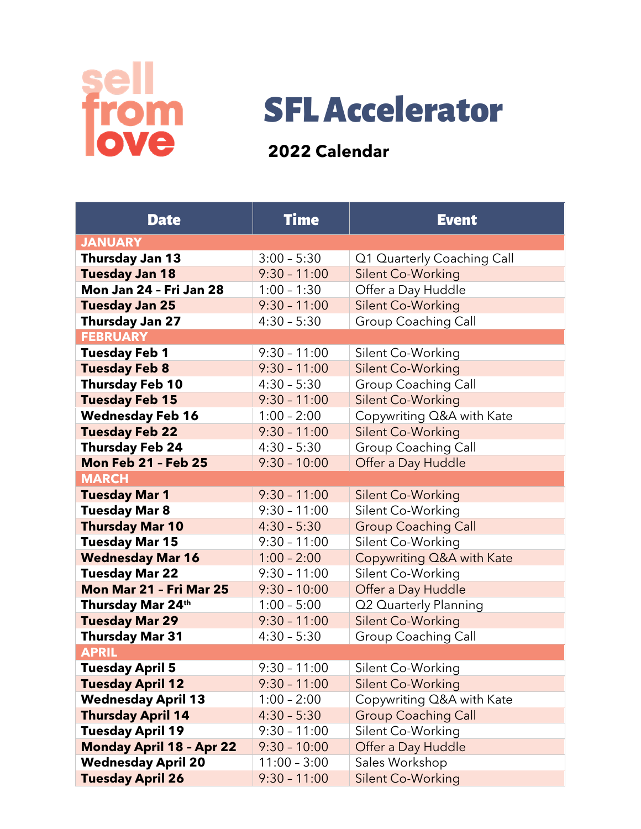



## **2022 Calendar**

| <b>Date</b>                     | <b>Time</b>    | <b>Event</b>               |  |  |
|---------------------------------|----------------|----------------------------|--|--|
| <b>JANUARY</b>                  |                |                            |  |  |
| <b>Thursday Jan 13</b>          | $3:00 - 5:30$  | Q1 Quarterly Coaching Call |  |  |
| <b>Tuesday Jan 18</b>           | $9:30 - 11:00$ | Silent Co-Working          |  |  |
| Mon Jan 24 - Fri Jan 28         | $1:00 - 1:30$  | Offer a Day Huddle         |  |  |
| <b>Tuesday Jan 25</b>           | $9:30 - 11:00$ | Silent Co-Working          |  |  |
| Thursday Jan 27                 | $4:30 - 5:30$  | <b>Group Coaching Call</b> |  |  |
| <b>FEBRUARY</b>                 |                |                            |  |  |
| <b>Tuesday Feb 1</b>            | $9:30 - 11:00$ | Silent Co-Working          |  |  |
| <b>Tuesday Feb 8</b>            | $9:30 - 11:00$ | Silent Co-Working          |  |  |
| <b>Thursday Feb 10</b>          | $4:30 - 5:30$  | <b>Group Coaching Call</b> |  |  |
| <b>Tuesday Feb 15</b>           | $9:30 - 11:00$ | Silent Co-Working          |  |  |
| <b>Wednesday Feb 16</b>         | $1:00 - 2:00$  | Copywriting Q&A with Kate  |  |  |
| <b>Tuesday Feb 22</b>           | $9:30 - 11:00$ | Silent Co-Working          |  |  |
| <b>Thursday Feb 24</b>          | $4:30 - 5:30$  | <b>Group Coaching Call</b> |  |  |
| <b>Mon Feb 21 - Feb 25</b>      | $9:30 - 10:00$ | Offer a Day Huddle         |  |  |
| <b>MARCH</b>                    |                |                            |  |  |
| <b>Tuesday Mar 1</b>            | $9:30 - 11:00$ | <b>Silent Co-Working</b>   |  |  |
| <b>Tuesday Mar 8</b>            | $9:30 - 11:00$ | Silent Co-Working          |  |  |
| <b>Thursday Mar 10</b>          | $4:30 - 5:30$  | <b>Group Coaching Call</b> |  |  |
| <b>Tuesday Mar 15</b>           | $9:30 - 11:00$ | Silent Co-Working          |  |  |
| <b>Wednesday Mar 16</b>         | $1:00 - 2:00$  | Copywriting Q&A with Kate  |  |  |
| <b>Tuesday Mar 22</b>           | $9:30 - 11:00$ | Silent Co-Working          |  |  |
| Mon Mar 21 - Fri Mar 25         | $9:30 - 10:00$ | Offer a Day Huddle         |  |  |
| Thursday Mar 24th               | $1:00 - 5:00$  | Q2 Quarterly Planning      |  |  |
| <b>Tuesday Mar 29</b>           | $9:30 - 11:00$ | Silent Co-Working          |  |  |
| <b>Thursday Mar 31</b>          | $4:30 - 5:30$  | <b>Group Coaching Call</b> |  |  |
| <b>APRIL</b>                    |                |                            |  |  |
| <b>Tuesday April 5</b>          | $9:30 - 11:00$ | Silent Co-Working          |  |  |
| <b>Tuesday April 12</b>         | $9:30 - 11:00$ | <b>Silent Co-Working</b>   |  |  |
| <b>Wednesday April 13</b>       | $1:00 - 2:00$  | Copywriting Q&A with Kate  |  |  |
| <b>Thursday April 14</b>        | $4:30 - 5:30$  | <b>Group Coaching Call</b> |  |  |
| <b>Tuesday April 19</b>         | $9:30 - 11:00$ | Silent Co-Working          |  |  |
| <b>Monday April 18 - Apr 22</b> | $9:30 - 10:00$ | Offer a Day Huddle         |  |  |
| <b>Wednesday April 20</b>       | $11:00 - 3:00$ | Sales Workshop             |  |  |
| <b>Tuesday April 26</b>         | $9:30 - 11:00$ | <b>Silent Co-Working</b>   |  |  |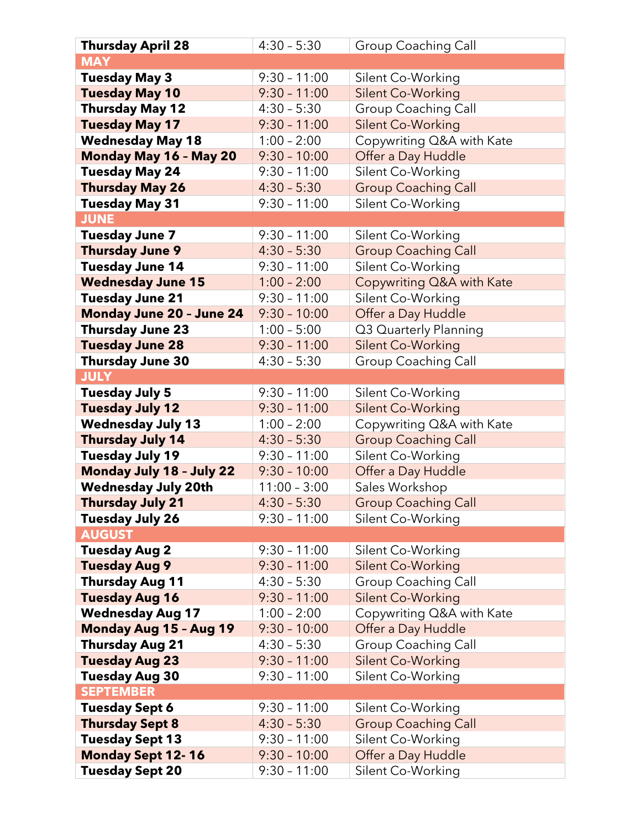| <b>Thursday April 28</b>      | $4:30 - 5:30$  | <b>Group Coaching Call</b> |
|-------------------------------|----------------|----------------------------|
| <b>MAY</b>                    |                |                            |
| <b>Tuesday May 3</b>          | $9:30 - 11:00$ | Silent Co-Working          |
| <b>Tuesday May 10</b>         | $9:30 - 11:00$ | <b>Silent Co-Working</b>   |
| <b>Thursday May 12</b>        | $4:30 - 5:30$  | <b>Group Coaching Call</b> |
| <b>Tuesday May 17</b>         | $9:30 - 11:00$ | Silent Co-Working          |
| <b>Wednesday May 18</b>       | $1:00 - 2:00$  | Copywriting Q&A with Kate  |
| <b>Monday May 16 - May 20</b> | $9:30 - 10:00$ | Offer a Day Huddle         |
| <b>Tuesday May 24</b>         | $9:30 - 11:00$ | Silent Co-Working          |
| <b>Thursday May 26</b>        | $4:30 - 5:30$  | <b>Group Coaching Call</b> |
| <b>Tuesday May 31</b>         | $9:30 - 11:00$ | Silent Co-Working          |
| <b>JUNE</b>                   |                |                            |
| <b>Tuesday June 7</b>         | $9:30 - 11:00$ | Silent Co-Working          |
| <b>Thursday June 9</b>        | $4:30 - 5:30$  | <b>Group Coaching Call</b> |
| <b>Tuesday June 14</b>        | $9:30 - 11:00$ | Silent Co-Working          |
| <b>Wednesday June 15</b>      | $1:00 - 2:00$  | Copywriting Q&A with Kate  |
| <b>Tuesday June 21</b>        | $9:30 - 11:00$ | Silent Co-Working          |
| Monday June 20 - June 24      | $9:30 - 10:00$ | Offer a Day Huddle         |
| <b>Thursday June 23</b>       | $1:00 - 5:00$  | Q3 Quarterly Planning      |
| <b>Tuesday June 28</b>        | $9:30 - 11:00$ | <b>Silent Co-Working</b>   |
| <b>Thursday June 30</b>       | $4:30 - 5:30$  | Group Coaching Call        |
| <b>JULY</b>                   |                |                            |
| <b>Tuesday July 5</b>         | $9:30 - 11:00$ | Silent Co-Working          |
| <b>Tuesday July 12</b>        | $9:30 - 11:00$ | Silent Co-Working          |
| <b>Wednesday July 13</b>      | $1:00 - 2:00$  | Copywriting Q&A with Kate  |
| <b>Thursday July 14</b>       | $4:30 - 5:30$  | <b>Group Coaching Call</b> |
| <b>Tuesday July 19</b>        | $9:30 - 11:00$ | Silent Co-Working          |
| Monday July 18 - July 22      | $9:30 - 10:00$ | Offer a Day Huddle         |
| <b>Wednesday July 20th</b>    | $11:00 - 3:00$ | Sales Workshop             |
| <b>Thursday July 21</b>       | $4:30 - 5:30$  | <b>Group Coaching Call</b> |
| <b>Tuesday July 26</b>        | $9:30 - 11:00$ | Silent Co-Working          |
| <b>AUGUST</b>                 |                |                            |
| <b>Tuesday Aug 2</b>          | $9:30 - 11:00$ | Silent Co-Working          |
| <b>Tuesday Aug 9</b>          | $9:30 - 11:00$ | <b>Silent Co-Working</b>   |
| <b>Thursday Aug 11</b>        | $4:30 - 5:30$  | <b>Group Coaching Call</b> |
| <b>Tuesday Aug 16</b>         | $9:30 - 11:00$ | Silent Co-Working          |
| <b>Wednesday Aug 17</b>       | $1:00 - 2:00$  | Copywriting Q&A with Kate  |
| <b>Monday Aug 15 - Aug 19</b> | $9:30 - 10:00$ | Offer a Day Huddle         |
| <b>Thursday Aug 21</b>        | $4:30 - 5:30$  | <b>Group Coaching Call</b> |
| <b>Tuesday Aug 23</b>         | $9:30 - 11:00$ | Silent Co-Working          |
| <b>Tuesday Aug 30</b>         | $9:30 - 11:00$ | Silent Co-Working          |
| <b>SEPTEMBER</b>              |                |                            |
| <b>Tuesday Sept 6</b>         | $9:30 - 11:00$ | Silent Co-Working          |
| <b>Thursday Sept 8</b>        | $4:30 - 5:30$  | <b>Group Coaching Call</b> |
| <b>Tuesday Sept 13</b>        | $9:30 - 11:00$ | Silent Co-Working          |
| <b>Monday Sept 12-16</b>      | $9:30 - 10:00$ | Offer a Day Huddle         |
| <b>Tuesday Sept 20</b>        | $9:30 - 11:00$ | Silent Co-Working          |